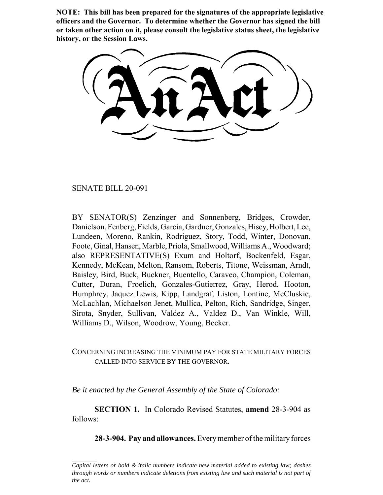**NOTE: This bill has been prepared for the signatures of the appropriate legislative officers and the Governor. To determine whether the Governor has signed the bill or taken other action on it, please consult the legislative status sheet, the legislative history, or the Session Laws.**

SENATE BILL 20-091

BY SENATOR(S) Zenzinger and Sonnenberg, Bridges, Crowder, Danielson, Fenberg, Fields, Garcia, Gardner, Gonzales, Hisey, Holbert, Lee, Lundeen, Moreno, Rankin, Rodriguez, Story, Todd, Winter, Donovan, Foote, Ginal, Hansen, Marble, Priola, Smallwood, Williams A., Woodward; also REPRESENTATIVE(S) Exum and Holtorf, Bockenfeld, Esgar, Kennedy, McKean, Melton, Ransom, Roberts, Titone, Weissman, Arndt, Baisley, Bird, Buck, Buckner, Buentello, Caraveo, Champion, Coleman, Cutter, Duran, Froelich, Gonzales-Gutierrez, Gray, Herod, Hooton, Humphrey, Jaquez Lewis, Kipp, Landgraf, Liston, Lontine, McCluskie, McLachlan, Michaelson Jenet, Mullica, Pelton, Rich, Sandridge, Singer, Sirota, Snyder, Sullivan, Valdez A., Valdez D., Van Winkle, Will, Williams D., Wilson, Woodrow, Young, Becker.

## CONCERNING INCREASING THE MINIMUM PAY FOR STATE MILITARY FORCES CALLED INTO SERVICE BY THE GOVERNOR.

*Be it enacted by the General Assembly of the State of Colorado:*

**SECTION 1.** In Colorado Revised Statutes, **amend** 28-3-904 as follows:

**28-3-904. Pay and allowances.** Every member of the military forces

*Capital letters or bold & italic numbers indicate new material added to existing law; dashes through words or numbers indicate deletions from existing law and such material is not part of the act.*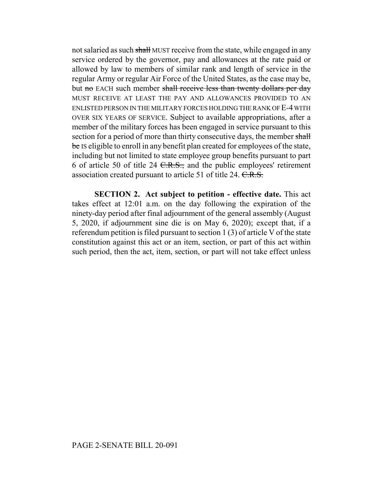not salaried as such shall MUST receive from the state, while engaged in any service ordered by the governor, pay and allowances at the rate paid or allowed by law to members of similar rank and length of service in the regular Army or regular Air Force of the United States, as the case may be, but no EACH such member shall receive less than twenty dollars per day MUST RECEIVE AT LEAST THE PAY AND ALLOWANCES PROVIDED TO AN ENLISTED PERSON IN THE MILITARY FORCES HOLDING THE RANK OF E-4 WITH OVER SIX YEARS OF SERVICE. Subject to available appropriations, after a member of the military forces has been engaged in service pursuant to this section for a period of more than thirty consecutive days, the member shall be IS eligible to enroll in any benefit plan created for employees of the state, including but not limited to state employee group benefits pursuant to part 6 of article 50 of title 24  $C.R.S.,$  and the public employees' retirement association created pursuant to article 51 of title 24. C.R.S.

**SECTION 2. Act subject to petition - effective date.** This act takes effect at 12:01 a.m. on the day following the expiration of the ninety-day period after final adjournment of the general assembly (August 5, 2020, if adjournment sine die is on May 6, 2020); except that, if a referendum petition is filed pursuant to section 1 (3) of article V of the state constitution against this act or an item, section, or part of this act within such period, then the act, item, section, or part will not take effect unless